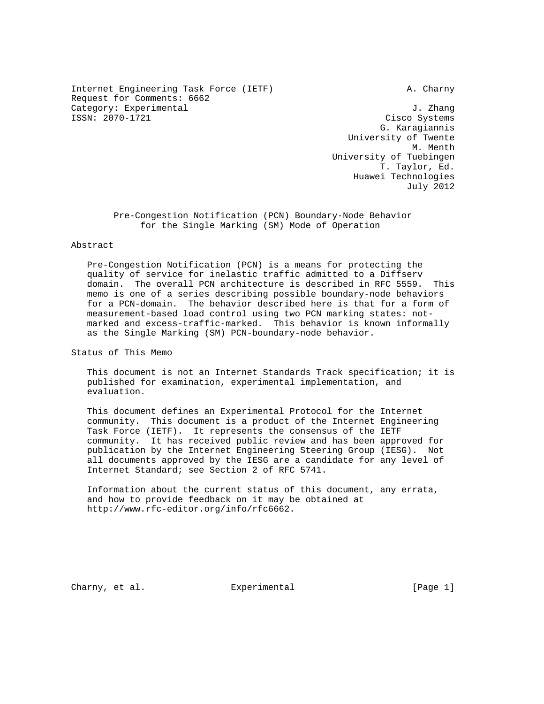Internet Engineering Task Force (IETF) A. Charny Request for Comments: 6662 Category: Experimental  $J.$  Zhang ISSN: 2070-1721 Cisco Systems

 G. Karagiannis University of Twente M. Menth University of Tuebingen T. Taylor, Ed. Huawei Technologies July 2012

 Pre-Congestion Notification (PCN) Boundary-Node Behavior for the Single Marking (SM) Mode of Operation

# Abstract

 Pre-Congestion Notification (PCN) is a means for protecting the quality of service for inelastic traffic admitted to a Diffserv domain. The overall PCN architecture is described in RFC 5559. This memo is one of a series describing possible boundary-node behaviors for a PCN-domain. The behavior described here is that for a form of measurement-based load control using two PCN marking states: not marked and excess-traffic-marked. This behavior is known informally as the Single Marking (SM) PCN-boundary-node behavior.

Status of This Memo

 This document is not an Internet Standards Track specification; it is published for examination, experimental implementation, and evaluation.

 This document defines an Experimental Protocol for the Internet community. This document is a product of the Internet Engineering Task Force (IETF). It represents the consensus of the IETF community. It has received public review and has been approved for publication by the Internet Engineering Steering Group (IESG). Not all documents approved by the IESG are a candidate for any level of Internet Standard; see Section 2 of RFC 5741.

 Information about the current status of this document, any errata, and how to provide feedback on it may be obtained at http://www.rfc-editor.org/info/rfc6662.

Charny, et al. **Experimental** [Page 1]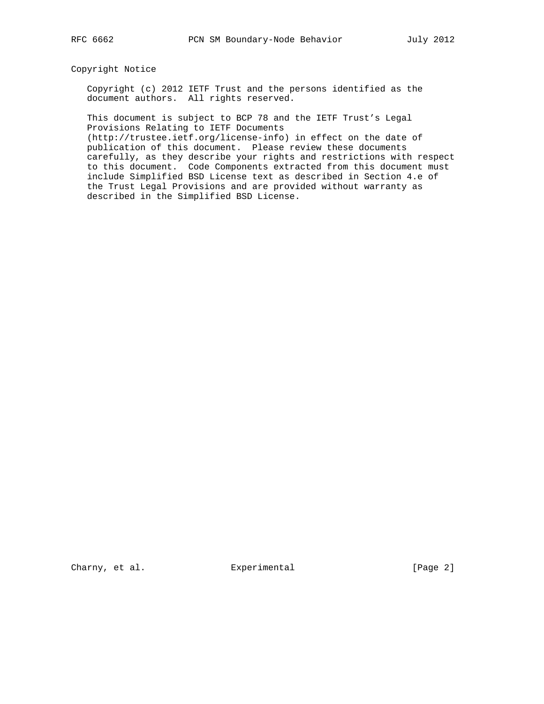# Copyright Notice

 Copyright (c) 2012 IETF Trust and the persons identified as the document authors. All rights reserved.

 This document is subject to BCP 78 and the IETF Trust's Legal Provisions Relating to IETF Documents

 (http://trustee.ietf.org/license-info) in effect on the date of publication of this document. Please review these documents carefully, as they describe your rights and restrictions with respect to this document. Code Components extracted from this document must include Simplified BSD License text as described in Section 4.e of the Trust Legal Provisions and are provided without warranty as described in the Simplified BSD License.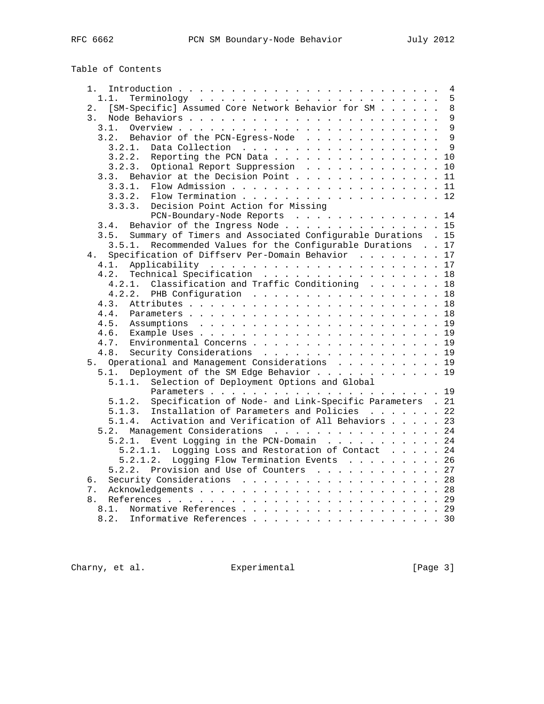Table of Contents

| 1.             |                                                                      |  |
|----------------|----------------------------------------------------------------------|--|
|                | 1.1.                                                                 |  |
| 2.             | [SM-Specific] Assumed Core Network Behavior for SM 8                 |  |
| 3 <sup>1</sup> |                                                                      |  |
|                | 3.1.                                                                 |  |
|                | 3.2. Behavior of the PCN-Egress-Node 9                               |  |
|                |                                                                      |  |
|                | $3.2.2.$ Reporting the PCN Data 10                                   |  |
|                | 3.2.3. Optional Report Suppression 10                                |  |
|                | 3.3. Behavior at the Decision Point 11                               |  |
|                | Flow Admission 11<br>3.3.1.                                          |  |
|                | 3.3.2. Flow Termination 12                                           |  |
|                | 3.3.3. Decision Point Action for Missing                             |  |
|                | PCN-Boundary-Node Reports 14                                         |  |
|                | Behavior of the Ingress Node 15<br>3.4.                              |  |
|                | Summary of Timers and Associated Configurable Durations . 15<br>3.5. |  |
|                | Recommended Values for the Configurable Durations 17<br>3.5.1.       |  |
| 4.             | Specification of Diffserv Per-Domain Behavior 17                     |  |
|                | 4.1.                                                                 |  |
|                | Technical Specification 18<br>4.2.                                   |  |
|                | 4.2.1. Classification and Traffic Conditioning 18                    |  |
|                | 4.2.2. PHB Configuration 18                                          |  |
|                | 4.3.                                                                 |  |
|                |                                                                      |  |
|                | 4.4.                                                                 |  |
|                | 4.5.                                                                 |  |
|                |                                                                      |  |
|                | Environmental Concerns 19<br>4.7.                                    |  |
|                | Security Considerations 19<br>4.8.                                   |  |
|                | 5. Operational and Management Considerations 19                      |  |
|                | Deployment of the SM Edge Behavior 19<br>5.1.                        |  |
|                | Selection of Deployment Options and Global<br>5.1.1.                 |  |
|                |                                                                      |  |
|                | Specification of Node- and Link-Specific Parameters . 21<br>5.1.2.   |  |
|                | Installation of Parameters and Policies 22<br>5.1.3.                 |  |
|                | Activation and Verification of All Behaviors 23<br>5.1.4.            |  |
|                | 5.2. Management Considerations 24                                    |  |
|                | 5.2.1. Event Logging in the PCN-Domain 24                            |  |
|                | 5.2.1.1. Logging Loss and Restoration of Contact 24                  |  |
|                | Logging Flow Termination Events 26<br>5.2.1.2.                       |  |
|                | 5.2.2. Provision and Use of Counters 27                              |  |
| б.             | Security Considerations 28                                           |  |
| 7.             |                                                                      |  |
|                |                                                                      |  |
| 8.             |                                                                      |  |

Charny, et al. Experimental Experimental [Page 3]

8.1. Normative References . . . . . . . . . . . . . . . . . . 29 8.2. Informative References . . . . . . . . . . . . . . . . . 30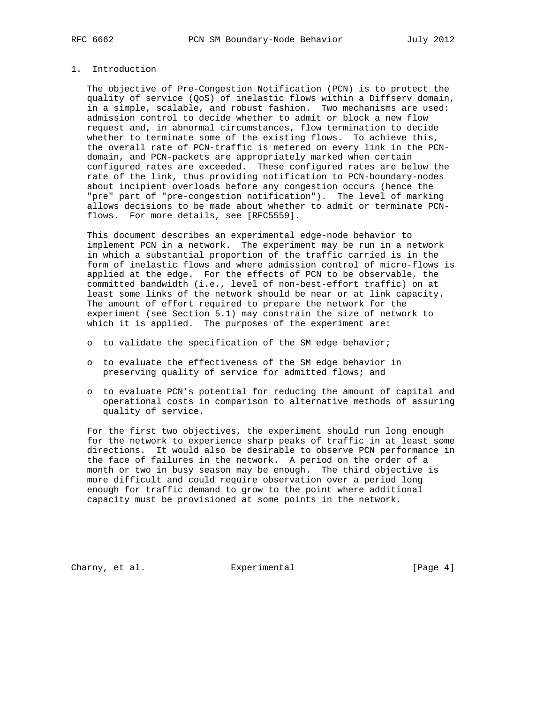# 1. Introduction

 The objective of Pre-Congestion Notification (PCN) is to protect the quality of service (QoS) of inelastic flows within a Diffserv domain, in a simple, scalable, and robust fashion. Two mechanisms are used: admission control to decide whether to admit or block a new flow request and, in abnormal circumstances, flow termination to decide whether to terminate some of the existing flows. To achieve this, the overall rate of PCN-traffic is metered on every link in the PCN domain, and PCN-packets are appropriately marked when certain configured rates are exceeded. These configured rates are below the rate of the link, thus providing notification to PCN-boundary-nodes about incipient overloads before any congestion occurs (hence the "pre" part of "pre-congestion notification"). The level of marking allows decisions to be made about whether to admit or terminate PCN flows. For more details, see [RFC5559].

 This document describes an experimental edge-node behavior to implement PCN in a network. The experiment may be run in a network in which a substantial proportion of the traffic carried is in the form of inelastic flows and where admission control of micro-flows is applied at the edge. For the effects of PCN to be observable, the committed bandwidth (i.e., level of non-best-effort traffic) on at least some links of the network should be near or at link capacity. The amount of effort required to prepare the network for the experiment (see Section 5.1) may constrain the size of network to which it is applied. The purposes of the experiment are:

- o to validate the specification of the SM edge behavior;
- o to evaluate the effectiveness of the SM edge behavior in preserving quality of service for admitted flows; and
- o to evaluate PCN's potential for reducing the amount of capital and operational costs in comparison to alternative methods of assuring quality of service.

 For the first two objectives, the experiment should run long enough for the network to experience sharp peaks of traffic in at least some directions. It would also be desirable to observe PCN performance in the face of failures in the network. A period on the order of a month or two in busy season may be enough. The third objective is more difficult and could require observation over a period long enough for traffic demand to grow to the point where additional capacity must be provisioned at some points in the network.

Charny, et al. Subsection Experimental Charny, et al. (Page 4)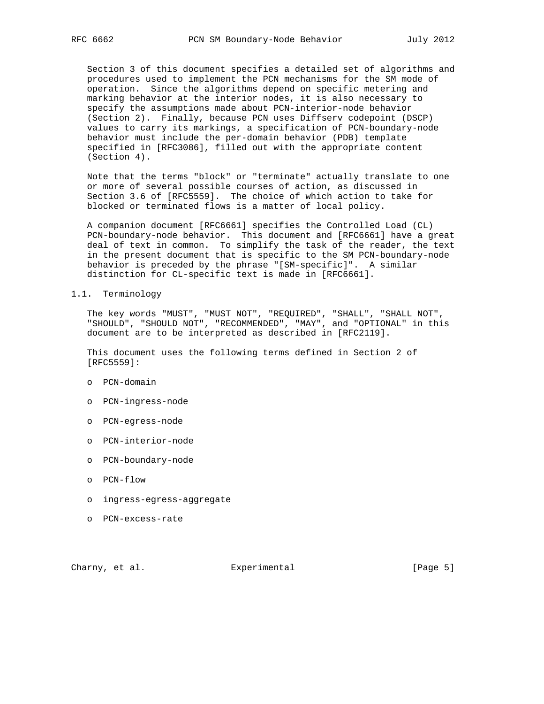Section 3 of this document specifies a detailed set of algorithms and procedures used to implement the PCN mechanisms for the SM mode of operation. Since the algorithms depend on specific metering and marking behavior at the interior nodes, it is also necessary to specify the assumptions made about PCN-interior-node behavior (Section 2). Finally, because PCN uses Diffserv codepoint (DSCP) values to carry its markings, a specification of PCN-boundary-node behavior must include the per-domain behavior (PDB) template specified in [RFC3086], filled out with the appropriate content (Section 4).

 Note that the terms "block" or "terminate" actually translate to one or more of several possible courses of action, as discussed in Section 3.6 of [RFC5559]. The choice of which action to take for blocked or terminated flows is a matter of local policy.

 A companion document [RFC6661] specifies the Controlled Load (CL) PCN-boundary-node behavior. This document and [RFC6661] have a great deal of text in common. To simplify the task of the reader, the text in the present document that is specific to the SM PCN-boundary-node behavior is preceded by the phrase "[SM-specific]". A similar distinction for CL-specific text is made in [RFC6661].

## 1.1. Terminology

 The key words "MUST", "MUST NOT", "REQUIRED", "SHALL", "SHALL NOT", "SHOULD", "SHOULD NOT", "RECOMMENDED", "MAY", and "OPTIONAL" in this document are to be interpreted as described in [RFC2119].

 This document uses the following terms defined in Section 2 of [RFC5559]:

- o PCN-domain
- o PCN-ingress-node
- o PCN-egress-node
- o PCN-interior-node
- o PCN-boundary-node
- o PCN-flow
- o ingress-egress-aggregate
- o PCN-excess-rate

Charny, et al. Subsection Experimental Charny, et al. (Page 5)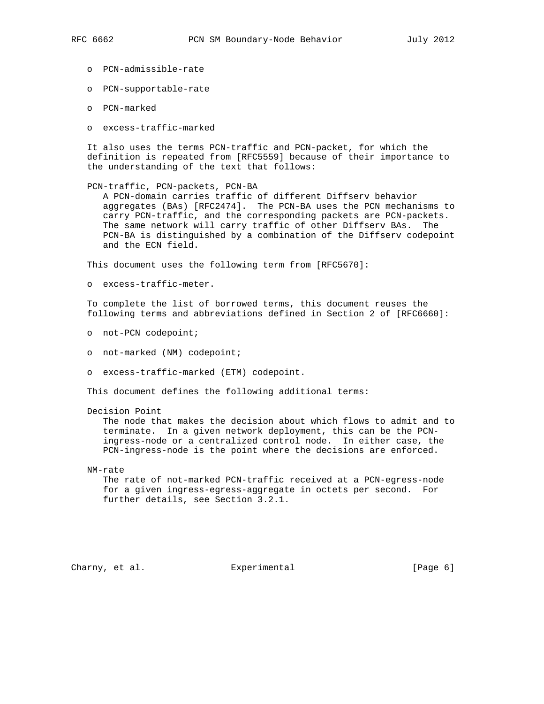- o PCN-admissible-rate
- o PCN-supportable-rate
- o PCN-marked
- o excess-traffic-marked

 It also uses the terms PCN-traffic and PCN-packet, for which the definition is repeated from [RFC5559] because of their importance to the understanding of the text that follows:

PCN-traffic, PCN-packets, PCN-BA

 A PCN-domain carries traffic of different Diffserv behavior aggregates (BAs) [RFC2474]. The PCN-BA uses the PCN mechanisms to carry PCN-traffic, and the corresponding packets are PCN-packets. The same network will carry traffic of other Diffserv BAs. The PCN-BA is distinguished by a combination of the Diffserv codepoint and the ECN field.

This document uses the following term from [RFC5670]:

o excess-traffic-meter.

 To complete the list of borrowed terms, this document reuses the following terms and abbreviations defined in Section 2 of [RFC6660]:

- o not-PCN codepoint;
- o not-marked (NM) codepoint;
- o excess-traffic-marked (ETM) codepoint.

This document defines the following additional terms:

Decision Point

 The node that makes the decision about which flows to admit and to terminate. In a given network deployment, this can be the PCN ingress-node or a centralized control node. In either case, the PCN-ingress-node is the point where the decisions are enforced.

NM-rate

 The rate of not-marked PCN-traffic received at a PCN-egress-node for a given ingress-egress-aggregate in octets per second. For further details, see Section 3.2.1.

Charny, et al. Subsection Experimental Charny, et al.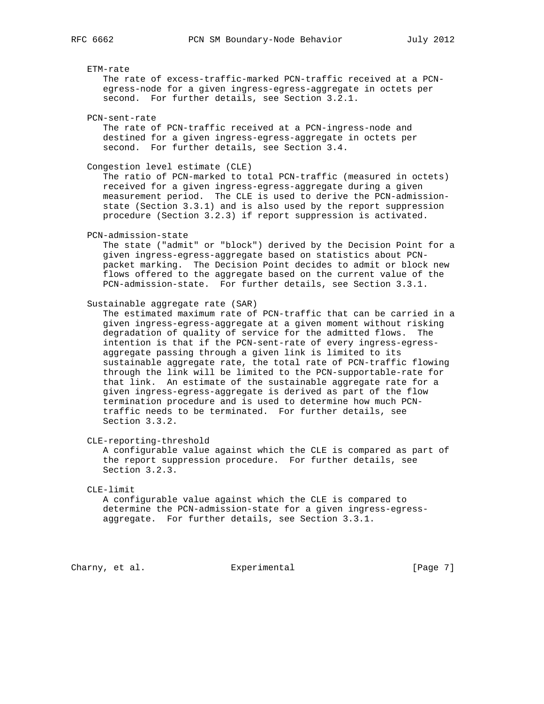# ETM-rate The rate of excess-traffic-marked PCN-traffic received at a PCN egress-node for a given ingress-egress-aggregate in octets per second. For further details, see Section 3.2.1. PCN-sent-rate The rate of PCN-traffic received at a PCN-ingress-node and destined for a given ingress-egress-aggregate in octets per second. For further details, see Section 3.4. Congestion level estimate (CLE) The ratio of PCN-marked to total PCN-traffic (measured in octets) received for a given ingress-egress-aggregate during a given measurement period. The CLE is used to derive the PCN-admission state (Section 3.3.1) and is also used by the report suppression procedure (Section 3.2.3) if report suppression is activated. PCN-admission-state The state ("admit" or "block") derived by the Decision Point for a given ingress-egress-aggregate based on statistics about PCN packet marking. The Decision Point decides to admit or block new flows offered to the aggregate based on the current value of the PCN-admission-state. For further details, see Section 3.3.1. Sustainable aggregate rate (SAR) The estimated maximum rate of PCN-traffic that can be carried in a given ingress-egress-aggregate at a given moment without risking degradation of quality of service for the admitted flows. The intention is that if the PCN-sent-rate of every ingress-egress aggregate passing through a given link is limited to its sustainable aggregate rate, the total rate of PCN-traffic flowing through the link will be limited to the PCN-supportable-rate for that link. An estimate of the sustainable aggregate rate for a given ingress-egress-aggregate is derived as part of the flow termination procedure and is used to determine how much PCN traffic needs to be terminated. For further details, see Section 3.3.2. CLE-reporting-threshold A configurable value against which the CLE is compared as part of

 the report suppression procedure. For further details, see Section 3.2.3.

### CLE-limit

 A configurable value against which the CLE is compared to determine the PCN-admission-state for a given ingress-egress aggregate. For further details, see Section 3.3.1.

Charny, et al. Subsection Experimental Charny, et al. Subsection experimental charge 7]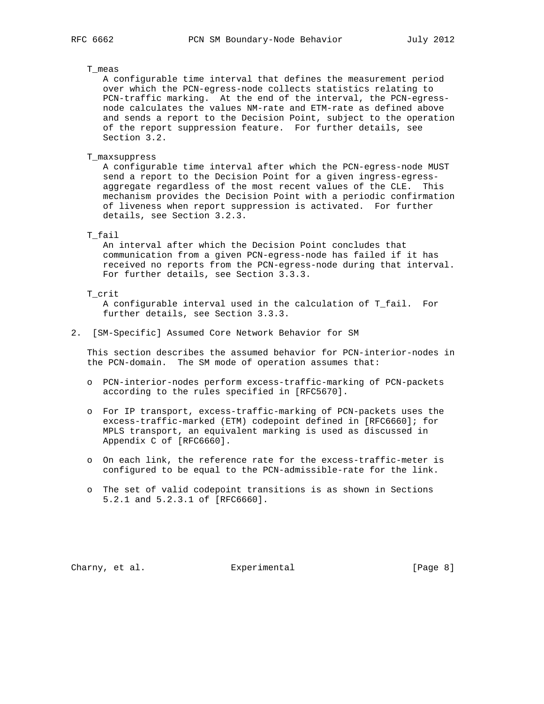## T\_meas

 A configurable time interval that defines the measurement period over which the PCN-egress-node collects statistics relating to PCN-traffic marking. At the end of the interval, the PCN-egress node calculates the values NM-rate and ETM-rate as defined above and sends a report to the Decision Point, subject to the operation of the report suppression feature. For further details, see Section 3.2.

T\_maxsuppress

 A configurable time interval after which the PCN-egress-node MUST send a report to the Decision Point for a given ingress-egress aggregate regardless of the most recent values of the CLE. This mechanism provides the Decision Point with a periodic confirmation of liveness when report suppression is activated. For further details, see Section 3.2.3.

## T\_fail

 An interval after which the Decision Point concludes that communication from a given PCN-egress-node has failed if it has received no reports from the PCN-egress-node during that interval. For further details, see Section 3.3.3.

# T\_crit

 A configurable interval used in the calculation of T\_fail. For further details, see Section 3.3.3.

2. [SM-Specific] Assumed Core Network Behavior for SM

 This section describes the assumed behavior for PCN-interior-nodes in the PCN-domain. The SM mode of operation assumes that:

- o PCN-interior-nodes perform excess-traffic-marking of PCN-packets according to the rules specified in [RFC5670].
- o For IP transport, excess-traffic-marking of PCN-packets uses the excess-traffic-marked (ETM) codepoint defined in [RFC6660]; for MPLS transport, an equivalent marking is used as discussed in Appendix C of [RFC6660].
- o On each link, the reference rate for the excess-traffic-meter is configured to be equal to the PCN-admissible-rate for the link.
- o The set of valid codepoint transitions is as shown in Sections 5.2.1 and 5.2.3.1 of [RFC6660].

Charny, et al. **Experimental** [Page 8]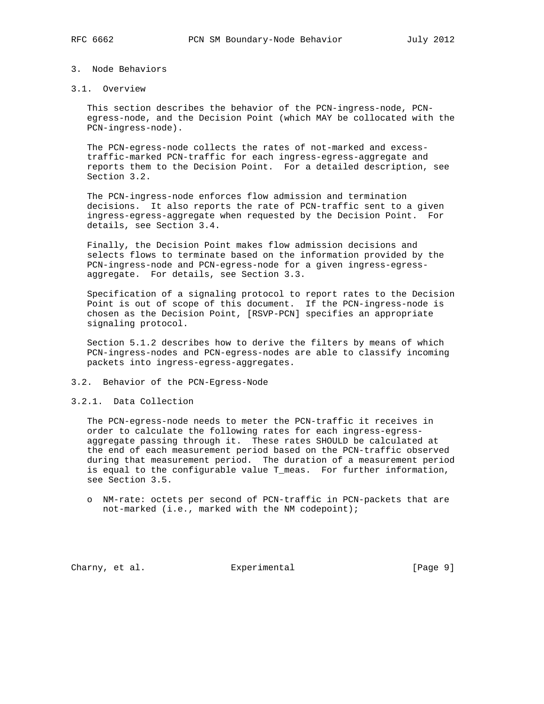# 3. Node Behaviors

# 3.1. Overview

 This section describes the behavior of the PCN-ingress-node, PCN egress-node, and the Decision Point (which MAY be collocated with the PCN-ingress-node).

 The PCN-egress-node collects the rates of not-marked and excess traffic-marked PCN-traffic for each ingress-egress-aggregate and reports them to the Decision Point. For a detailed description, see Section 3.2.

 The PCN-ingress-node enforces flow admission and termination decisions. It also reports the rate of PCN-traffic sent to a given ingress-egress-aggregate when requested by the Decision Point. For details, see Section 3.4.

 Finally, the Decision Point makes flow admission decisions and selects flows to terminate based on the information provided by the PCN-ingress-node and PCN-egress-node for a given ingress-egress aggregate. For details, see Section 3.3.

 Specification of a signaling protocol to report rates to the Decision Point is out of scope of this document. If the PCN-ingress-node is chosen as the Decision Point, [RSVP-PCN] specifies an appropriate signaling protocol.

 Section 5.1.2 describes how to derive the filters by means of which PCN-ingress-nodes and PCN-egress-nodes are able to classify incoming packets into ingress-egress-aggregates.

3.2. Behavior of the PCN-Egress-Node

## 3.2.1. Data Collection

 The PCN-egress-node needs to meter the PCN-traffic it receives in order to calculate the following rates for each ingress-egress aggregate passing through it. These rates SHOULD be calculated at the end of each measurement period based on the PCN-traffic observed during that measurement period. The duration of a measurement period is equal to the configurable value T\_meas. For further information, see Section 3.5.

 o NM-rate: octets per second of PCN-traffic in PCN-packets that are not-marked (i.e., marked with the NM codepoint);

Charny, et al. Subsection Experimental Charny, et al. Subsection and Experimental Charnes (Page 9)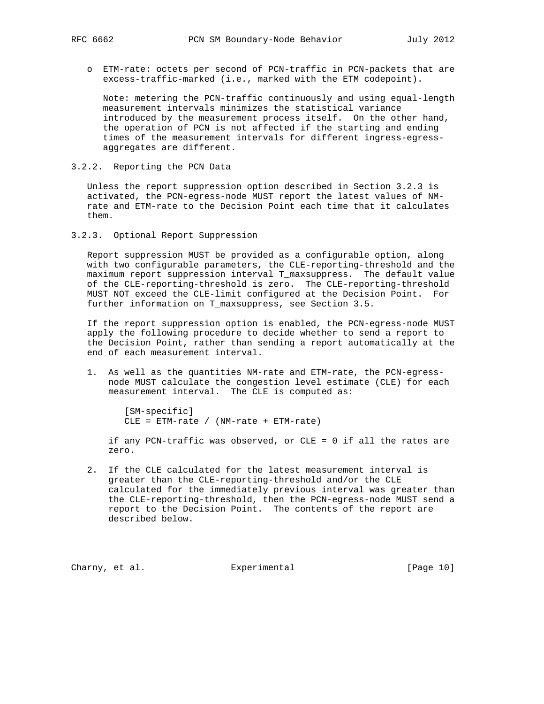o ETM-rate: octets per second of PCN-traffic in PCN-packets that are excess-traffic-marked (i.e., marked with the ETM codepoint).

 Note: metering the PCN-traffic continuously and using equal-length measurement intervals minimizes the statistical variance introduced by the measurement process itself. On the other hand, the operation of PCN is not affected if the starting and ending times of the measurement intervals for different ingress-egress aggregates are different.

3.2.2. Reporting the PCN Data

 Unless the report suppression option described in Section 3.2.3 is activated, the PCN-egress-node MUST report the latest values of NM rate and ETM-rate to the Decision Point each time that it calculates them.

3.2.3. Optional Report Suppression

 Report suppression MUST be provided as a configurable option, along with two configurable parameters, the CLE-reporting-threshold and the maximum report suppression interval T\_maxsuppress. The default value of the CLE-reporting-threshold is zero. The CLE-reporting-threshold MUST NOT exceed the CLE-limit configured at the Decision Point. For further information on T\_maxsuppress, see Section 3.5.

 If the report suppression option is enabled, the PCN-egress-node MUST apply the following procedure to decide whether to send a report to the Decision Point, rather than sending a report automatically at the end of each measurement interval.

 1. As well as the quantities NM-rate and ETM-rate, the PCN-egress node MUST calculate the congestion level estimate (CLE) for each measurement interval. The CLE is computed as:

 [SM-specific] CLE = ETM-rate / (NM-rate + ETM-rate)

 if any PCN-traffic was observed, or CLE = 0 if all the rates are zero.

 2. If the CLE calculated for the latest measurement interval is greater than the CLE-reporting-threshold and/or the CLE calculated for the immediately previous interval was greater than the CLE-reporting-threshold, then the PCN-egress-node MUST send a report to the Decision Point. The contents of the report are described below.

Charny, et al. Experimental [Page 10]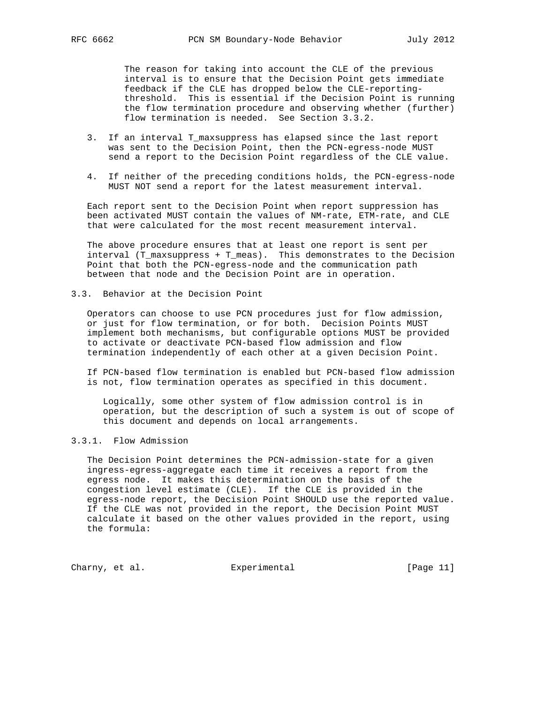The reason for taking into account the CLE of the previous interval is to ensure that the Decision Point gets immediate feedback if the CLE has dropped below the CLE-reporting threshold. This is essential if the Decision Point is running the flow termination procedure and observing whether (further) flow termination is needed. See Section 3.3.2.

- 3. If an interval T\_maxsuppress has elapsed since the last report was sent to the Decision Point, then the PCN-egress-node MUST send a report to the Decision Point regardless of the CLE value.
- 4. If neither of the preceding conditions holds, the PCN-egress-node MUST NOT send a report for the latest measurement interval.

 Each report sent to the Decision Point when report suppression has been activated MUST contain the values of NM-rate, ETM-rate, and CLE that were calculated for the most recent measurement interval.

 The above procedure ensures that at least one report is sent per interval (T\_maxsuppress + T\_meas). This demonstrates to the Decision Point that both the PCN-egress-node and the communication path between that node and the Decision Point are in operation.

3.3. Behavior at the Decision Point

 Operators can choose to use PCN procedures just for flow admission, or just for flow termination, or for both. Decision Points MUST implement both mechanisms, but configurable options MUST be provided to activate or deactivate PCN-based flow admission and flow termination independently of each other at a given Decision Point.

 If PCN-based flow termination is enabled but PCN-based flow admission is not, flow termination operates as specified in this document.

 Logically, some other system of flow admission control is in operation, but the description of such a system is out of scope of this document and depends on local arrangements.

# 3.3.1. Flow Admission

 The Decision Point determines the PCN-admission-state for a given ingress-egress-aggregate each time it receives a report from the egress node. It makes this determination on the basis of the congestion level estimate (CLE). If the CLE is provided in the egress-node report, the Decision Point SHOULD use the reported value. If the CLE was not provided in the report, the Decision Point MUST calculate it based on the other values provided in the report, using the formula:

Charny, et al. Experimental [Page 11]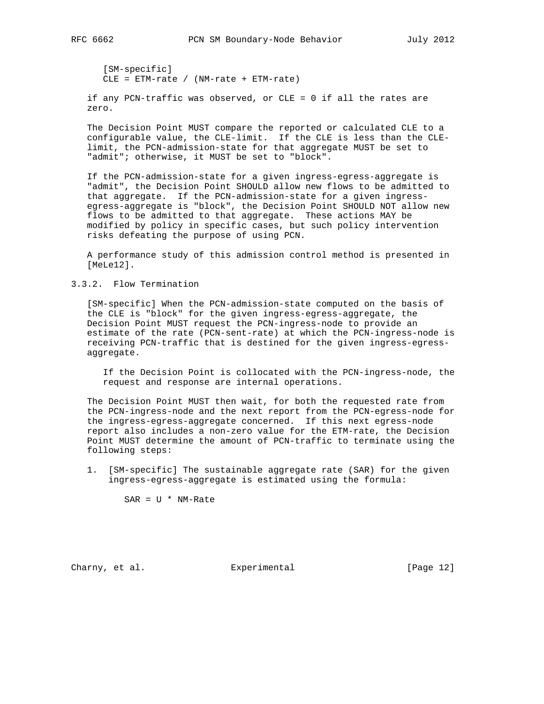[SM-specific] CLE = ETM-rate / (NM-rate + ETM-rate)

 if any PCN-traffic was observed, or CLE = 0 if all the rates are zero.

 The Decision Point MUST compare the reported or calculated CLE to a configurable value, the CLE-limit. If the CLE is less than the CLE limit, the PCN-admission-state for that aggregate MUST be set to "admit"; otherwise, it MUST be set to "block".

 If the PCN-admission-state for a given ingress-egress-aggregate is "admit", the Decision Point SHOULD allow new flows to be admitted to that aggregate. If the PCN-admission-state for a given ingress egress-aggregate is "block", the Decision Point SHOULD NOT allow new flows to be admitted to that aggregate. These actions MAY be modified by policy in specific cases, but such policy intervention risks defeating the purpose of using PCN.

 A performance study of this admission control method is presented in [MeLe12].

3.3.2. Flow Termination

 [SM-specific] When the PCN-admission-state computed on the basis of the CLE is "block" for the given ingress-egress-aggregate, the Decision Point MUST request the PCN-ingress-node to provide an estimate of the rate (PCN-sent-rate) at which the PCN-ingress-node is receiving PCN-traffic that is destined for the given ingress-egress aggregate.

 If the Decision Point is collocated with the PCN-ingress-node, the request and response are internal operations.

 The Decision Point MUST then wait, for both the requested rate from the PCN-ingress-node and the next report from the PCN-egress-node for the ingress-egress-aggregate concerned. If this next egress-node report also includes a non-zero value for the ETM-rate, the Decision Point MUST determine the amount of PCN-traffic to terminate using the following steps:

 1. [SM-specific] The sustainable aggregate rate (SAR) for the given ingress-egress-aggregate is estimated using the formula:

 $SAR = U * NM-Rate$ 

Charny, et al. Subsection Experimental Charny, et al. [Page 12]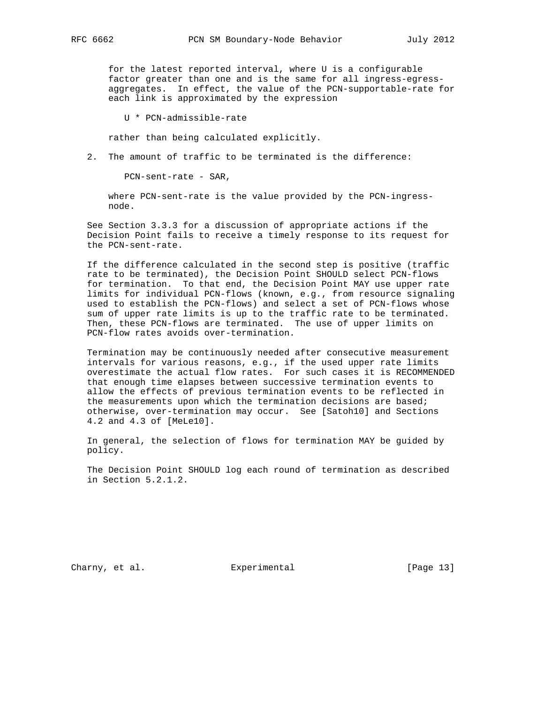for the latest reported interval, where U is a configurable factor greater than one and is the same for all ingress-egress aggregates. In effect, the value of the PCN-supportable-rate for each link is approximated by the expression

U \* PCN-admissible-rate

rather than being calculated explicitly.

2. The amount of traffic to be terminated is the difference:

PCN-sent-rate - SAR,

 where PCN-sent-rate is the value provided by the PCN-ingress node.

 See Section 3.3.3 for a discussion of appropriate actions if the Decision Point fails to receive a timely response to its request for the PCN-sent-rate.

 If the difference calculated in the second step is positive (traffic rate to be terminated), the Decision Point SHOULD select PCN-flows for termination. To that end, the Decision Point MAY use upper rate limits for individual PCN-flows (known, e.g., from resource signaling used to establish the PCN-flows) and select a set of PCN-flows whose sum of upper rate limits is up to the traffic rate to be terminated. Then, these PCN-flows are terminated. The use of upper limits on PCN-flow rates avoids over-termination.

 Termination may be continuously needed after consecutive measurement intervals for various reasons, e.g., if the used upper rate limits overestimate the actual flow rates. For such cases it is RECOMMENDED that enough time elapses between successive termination events to allow the effects of previous termination events to be reflected in the measurements upon which the termination decisions are based; otherwise, over-termination may occur. See [Satoh10] and Sections 4.2 and 4.3 of [MeLe10].

 In general, the selection of flows for termination MAY be guided by policy.

 The Decision Point SHOULD log each round of termination as described in Section 5.2.1.2.

Charny, et al. Subsection Experimental Charny, et al. [Page 13]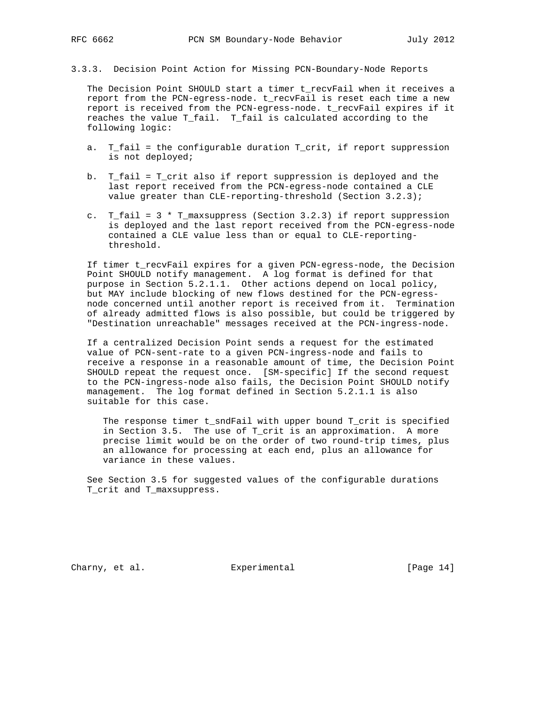3.3.3. Decision Point Action for Missing PCN-Boundary-Node Reports

 The Decision Point SHOULD start a timer t\_recvFail when it receives a report from the PCN-egress-node. t\_recvFail is reset each time a new report is received from the PCN-egress-node. t\_recvFail expires if it reaches the value T\_fail. T\_fail is calculated according to the following logic:

- a. T\_fail = the configurable duration T\_crit, if report suppression is not deployed;
- b. T\_fail = T\_crit also if report suppression is deployed and the last report received from the PCN-egress-node contained a CLE value greater than CLE-reporting-threshold (Section 3.2.3);
- c. T\_fail = 3 \* T\_maxsuppress (Section 3.2.3) if report suppression is deployed and the last report received from the PCN-egress-node contained a CLE value less than or equal to CLE-reporting threshold.

 If timer t\_recvFail expires for a given PCN-egress-node, the Decision Point SHOULD notify management. A log format is defined for that purpose in Section 5.2.1.1. Other actions depend on local policy, but MAY include blocking of new flows destined for the PCN-egress node concerned until another report is received from it. Termination of already admitted flows is also possible, but could be triggered by "Destination unreachable" messages received at the PCN-ingress-node.

 If a centralized Decision Point sends a request for the estimated value of PCN-sent-rate to a given PCN-ingress-node and fails to receive a response in a reasonable amount of time, the Decision Point SHOULD repeat the request once. [SM-specific] If the second request to the PCN-ingress-node also fails, the Decision Point SHOULD notify management. The log format defined in Section 5.2.1.1 is also suitable for this case.

 The response timer t\_sndFail with upper bound T\_crit is specified in Section 3.5. The use of T\_crit is an approximation. A more precise limit would be on the order of two round-trip times, plus an allowance for processing at each end, plus an allowance for variance in these values.

 See Section 3.5 for suggested values of the configurable durations T\_crit and T\_maxsuppress.

Charny, et al. Experimental [Page 14]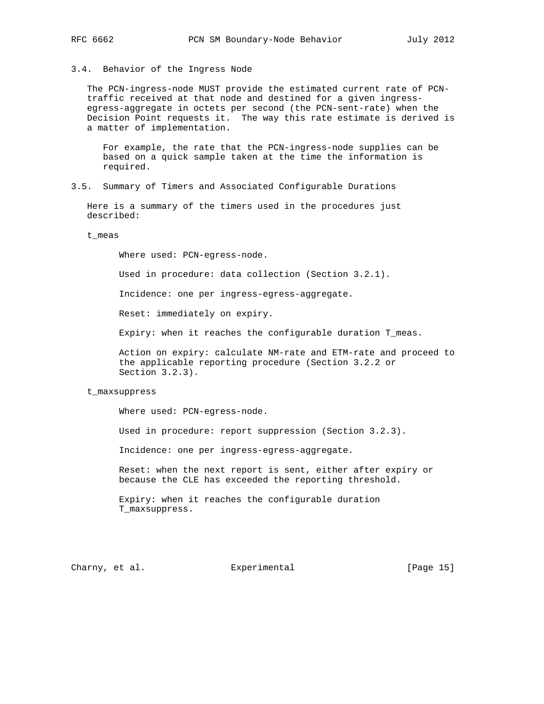# 3.4. Behavior of the Ingress Node

 The PCN-ingress-node MUST provide the estimated current rate of PCN traffic received at that node and destined for a given ingress egress-aggregate in octets per second (the PCN-sent-rate) when the Decision Point requests it. The way this rate estimate is derived is a matter of implementation.

 For example, the rate that the PCN-ingress-node supplies can be based on a quick sample taken at the time the information is required.

3.5. Summary of Timers and Associated Configurable Durations

 Here is a summary of the timers used in the procedures just described:

t\_meas

Where used: PCN-egress-node.

Used in procedure: data collection (Section 3.2.1).

Incidence: one per ingress-egress-aggregate.

Reset: immediately on expiry.

Expiry: when it reaches the configurable duration T\_meas.

 Action on expiry: calculate NM-rate and ETM-rate and proceed to the applicable reporting procedure (Section 3.2.2 or Section 3.2.3).

### t\_maxsuppress

Where used: PCN-egress-node.

Used in procedure: report suppression (Section 3.2.3).

Incidence: one per ingress-egress-aggregate.

 Reset: when the next report is sent, either after expiry or because the CLE has exceeded the reporting threshold.

 Expiry: when it reaches the configurable duration T\_maxsuppress.

Charny, et al. **Experimental** [Page 15]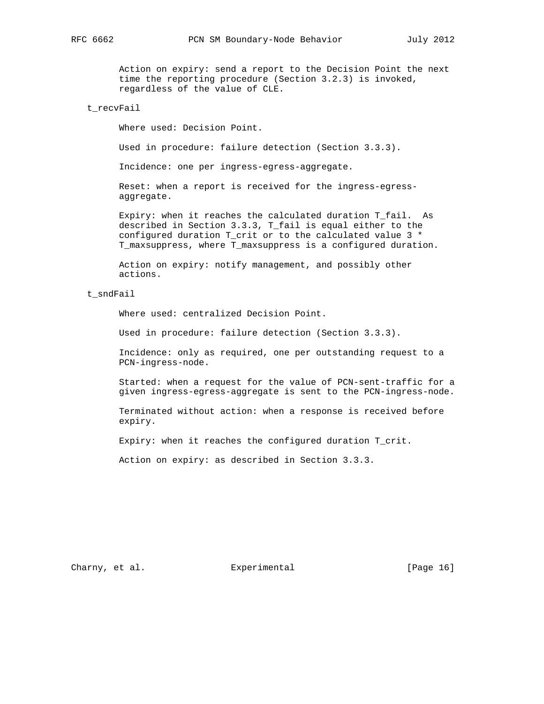Action on expiry: send a report to the Decision Point the next time the reporting procedure (Section 3.2.3) is invoked, regardless of the value of CLE.

# t\_recvFail

Where used: Decision Point.

Used in procedure: failure detection (Section 3.3.3).

Incidence: one per ingress-egress-aggregate.

 Reset: when a report is received for the ingress-egress aggregate.

 Expiry: when it reaches the calculated duration T\_fail. As described in Section 3.3.3, T\_fail is equal either to the configured duration T\_crit or to the calculated value 3 \* T\_maxsuppress, where T\_maxsuppress is a configured duration.

 Action on expiry: notify management, and possibly other actions.

# t\_sndFail

Where used: centralized Decision Point.

Used in procedure: failure detection (Section 3.3.3).

 Incidence: only as required, one per outstanding request to a PCN-ingress-node.

 Started: when a request for the value of PCN-sent-traffic for a given ingress-egress-aggregate is sent to the PCN-ingress-node.

 Terminated without action: when a response is received before expiry.

Expiry: when it reaches the configured duration T\_crit.

Action on expiry: as described in Section 3.3.3.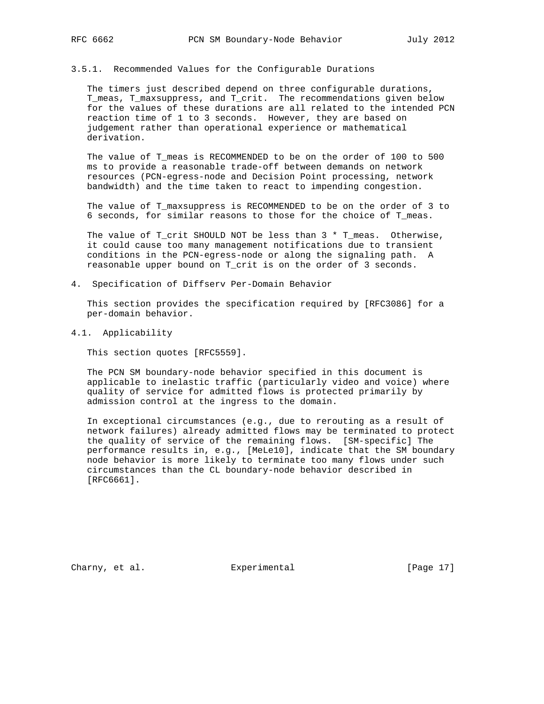# 3.5.1. Recommended Values for the Configurable Durations

 The timers just described depend on three configurable durations, T\_meas, T\_maxsuppress, and T\_crit. The recommendations given below for the values of these durations are all related to the intended PCN reaction time of 1 to 3 seconds. However, they are based on judgement rather than operational experience or mathematical derivation.

 The value of T\_meas is RECOMMENDED to be on the order of 100 to 500 ms to provide a reasonable trade-off between demands on network resources (PCN-egress-node and Decision Point processing, network bandwidth) and the time taken to react to impending congestion.

 The value of T\_maxsuppress is RECOMMENDED to be on the order of 3 to 6 seconds, for similar reasons to those for the choice of T\_meas.

The value of T\_crit SHOULD NOT be less than 3 \* T\_meas. Otherwise, it could cause too many management notifications due to transient conditions in the PCN-egress-node or along the signaling path. A reasonable upper bound on T\_crit is on the order of 3 seconds.

4. Specification of Diffserv Per-Domain Behavior

 This section provides the specification required by [RFC3086] for a per-domain behavior.

4.1. Applicability

This section quotes [RFC5559].

 The PCN SM boundary-node behavior specified in this document is applicable to inelastic traffic (particularly video and voice) where quality of service for admitted flows is protected primarily by admission control at the ingress to the domain.

 In exceptional circumstances (e.g., due to rerouting as a result of network failures) already admitted flows may be terminated to protect the quality of service of the remaining flows. [SM-specific] The performance results in, e.g., [MeLe10], indicate that the SM boundary node behavior is more likely to terminate too many flows under such circumstances than the CL boundary-node behavior described in [RFC6661].

Charny, et al. Subsection Experimental Charny, et al. (Page 17)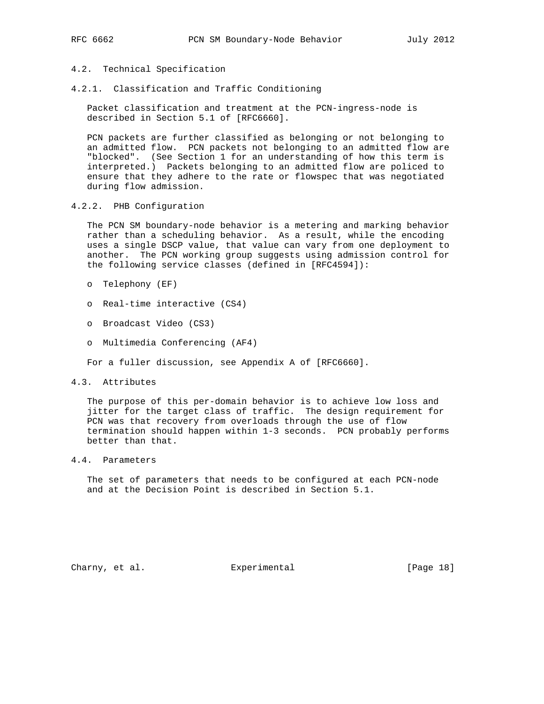# 4.2. Technical Specification

4.2.1. Classification and Traffic Conditioning

 Packet classification and treatment at the PCN-ingress-node is described in Section 5.1 of [RFC6660].

 PCN packets are further classified as belonging or not belonging to an admitted flow. PCN packets not belonging to an admitted flow are "blocked". (See Section 1 for an understanding of how this term is interpreted.) Packets belonging to an admitted flow are policed to ensure that they adhere to the rate or flowspec that was negotiated during flow admission.

4.2.2. PHB Configuration

 The PCN SM boundary-node behavior is a metering and marking behavior rather than a scheduling behavior. As a result, while the encoding uses a single DSCP value, that value can vary from one deployment to another. The PCN working group suggests using admission control for the following service classes (defined in [RFC4594]):

- o Telephony (EF)
- o Real-time interactive (CS4)
- o Broadcast Video (CS3)
- o Multimedia Conferencing (AF4)

For a fuller discussion, see Appendix A of [RFC6660].

4.3. Attributes

 The purpose of this per-domain behavior is to achieve low loss and jitter for the target class of traffic. The design requirement for PCN was that recovery from overloads through the use of flow termination should happen within 1-3 seconds. PCN probably performs better than that.

# 4.4. Parameters

 The set of parameters that needs to be configured at each PCN-node and at the Decision Point is described in Section 5.1.

Charny, et al. Subsection Experimental Charny, et al. (Page 18)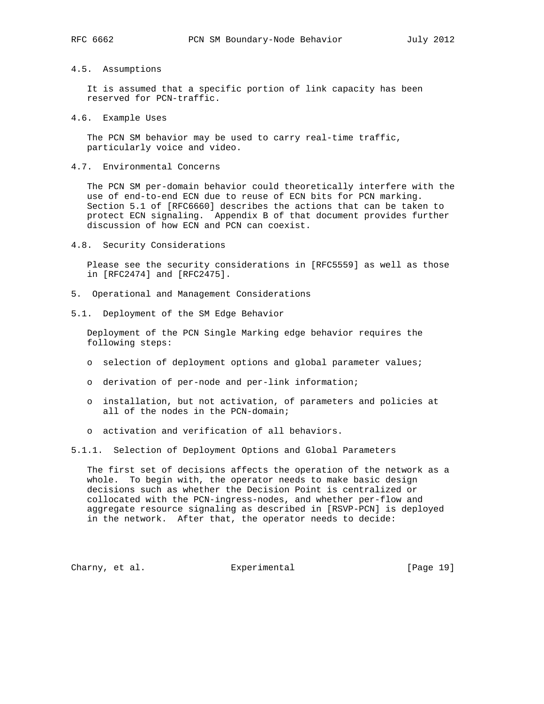## 4.5. Assumptions

 It is assumed that a specific portion of link capacity has been reserved for PCN-traffic.

4.6. Example Uses

 The PCN SM behavior may be used to carry real-time traffic, particularly voice and video.

4.7. Environmental Concerns

 The PCN SM per-domain behavior could theoretically interfere with the use of end-to-end ECN due to reuse of ECN bits for PCN marking. Section 5.1 of [RFC6660] describes the actions that can be taken to protect ECN signaling. Appendix B of that document provides further discussion of how ECN and PCN can coexist.

4.8. Security Considerations

 Please see the security considerations in [RFC5559] as well as those in [RFC2474] and [RFC2475].

- 5. Operational and Management Considerations
- 5.1. Deployment of the SM Edge Behavior

 Deployment of the PCN Single Marking edge behavior requires the following steps:

- o selection of deployment options and global parameter values;
- o derivation of per-node and per-link information;
- o installation, but not activation, of parameters and policies at all of the nodes in the PCN-domain;
- o activation and verification of all behaviors.
- 5.1.1. Selection of Deployment Options and Global Parameters

 The first set of decisions affects the operation of the network as a whole. To begin with, the operator needs to make basic design decisions such as whether the Decision Point is centralized or collocated with the PCN-ingress-nodes, and whether per-flow and aggregate resource signaling as described in [RSVP-PCN] is deployed in the network. After that, the operator needs to decide:

Charny, et al. **Experimental** [Page 19]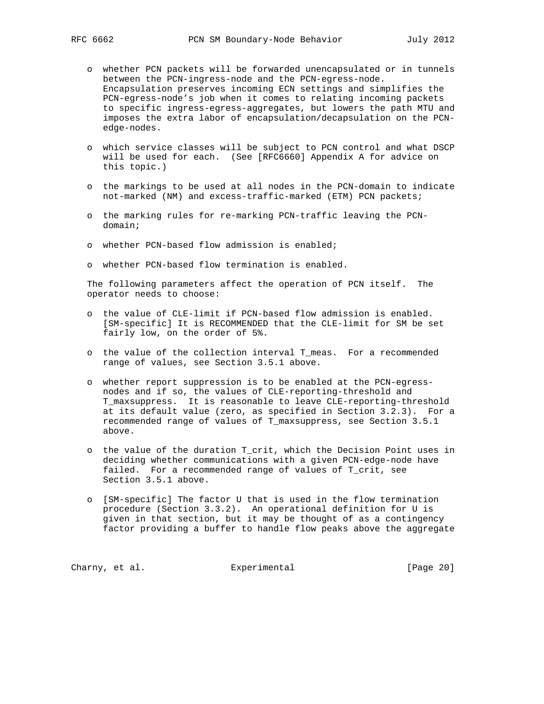- o whether PCN packets will be forwarded unencapsulated or in tunnels between the PCN-ingress-node and the PCN-egress-node. Encapsulation preserves incoming ECN settings and simplifies the PCN-egress-node's job when it comes to relating incoming packets to specific ingress-egress-aggregates, but lowers the path MTU and imposes the extra labor of encapsulation/decapsulation on the PCN edge-nodes.
- o which service classes will be subject to PCN control and what DSCP will be used for each. (See [RFC6660] Appendix A for advice on this topic.)
- o the markings to be used at all nodes in the PCN-domain to indicate not-marked (NM) and excess-traffic-marked (ETM) PCN packets;
- o the marking rules for re-marking PCN-traffic leaving the PCN domain;
- o whether PCN-based flow admission is enabled;
- o whether PCN-based flow termination is enabled.

 The following parameters affect the operation of PCN itself. The operator needs to choose:

- o the value of CLE-limit if PCN-based flow admission is enabled. [SM-specific] It is RECOMMENDED that the CLE-limit for SM be set fairly low, on the order of 5%.
- o the value of the collection interval T\_meas. For a recommended range of values, see Section 3.5.1 above.
- o whether report suppression is to be enabled at the PCN-egress nodes and if so, the values of CLE-reporting-threshold and T\_maxsuppress. It is reasonable to leave CLE-reporting-threshold at its default value (zero, as specified in Section 3.2.3). For a recommended range of values of T\_maxsuppress, see Section 3.5.1 above.
- o the value of the duration T\_crit, which the Decision Point uses in deciding whether communications with a given PCN-edge-node have failed. For a recommended range of values of T\_crit, see Section 3.5.1 above.
- o [SM-specific] The factor U that is used in the flow termination procedure (Section 3.3.2). An operational definition for U is given in that section, but it may be thought of as a contingency factor providing a buffer to handle flow peaks above the aggregate

Charny, et al. **Experimental** Experimental [Page 20]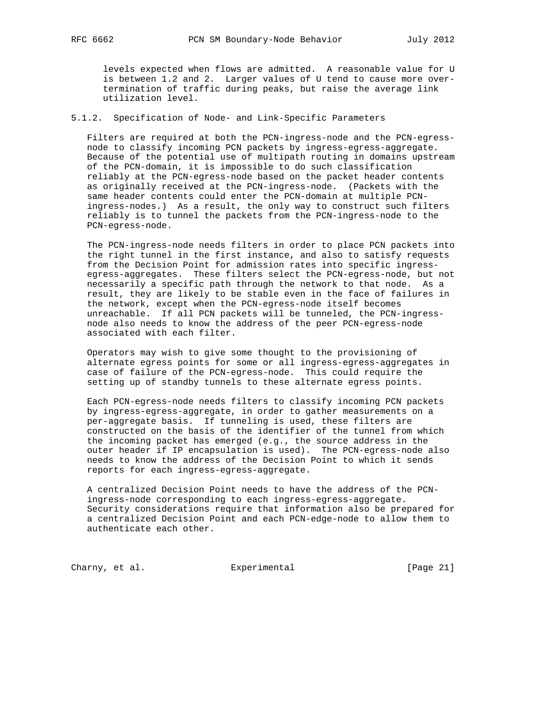levels expected when flows are admitted. A reasonable value for U is between 1.2 and 2. Larger values of U tend to cause more over termination of traffic during peaks, but raise the average link utilization level.

# 5.1.2. Specification of Node- and Link-Specific Parameters

 Filters are required at both the PCN-ingress-node and the PCN-egress node to classify incoming PCN packets by ingress-egress-aggregate. Because of the potential use of multipath routing in domains upstream of the PCN-domain, it is impossible to do such classification reliably at the PCN-egress-node based on the packet header contents as originally received at the PCN-ingress-node. (Packets with the same header contents could enter the PCN-domain at multiple PCN ingress-nodes.) As a result, the only way to construct such filters reliably is to tunnel the packets from the PCN-ingress-node to the PCN-egress-node.

 The PCN-ingress-node needs filters in order to place PCN packets into the right tunnel in the first instance, and also to satisfy requests from the Decision Point for admission rates into specific ingress egress-aggregates. These filters select the PCN-egress-node, but not necessarily a specific path through the network to that node. As a result, they are likely to be stable even in the face of failures in the network, except when the PCN-egress-node itself becomes unreachable. If all PCN packets will be tunneled, the PCN-ingress node also needs to know the address of the peer PCN-egress-node associated with each filter.

 Operators may wish to give some thought to the provisioning of alternate egress points for some or all ingress-egress-aggregates in case of failure of the PCN-egress-node. This could require the setting up of standby tunnels to these alternate egress points.

 Each PCN-egress-node needs filters to classify incoming PCN packets by ingress-egress-aggregate, in order to gather measurements on a per-aggregate basis. If tunneling is used, these filters are constructed on the basis of the identifier of the tunnel from which the incoming packet has emerged (e.g., the source address in the outer header if IP encapsulation is used). The PCN-egress-node also needs to know the address of the Decision Point to which it sends reports for each ingress-egress-aggregate.

 A centralized Decision Point needs to have the address of the PCN ingress-node corresponding to each ingress-egress-aggregate. Security considerations require that information also be prepared for a centralized Decision Point and each PCN-edge-node to allow them to authenticate each other.

Charny, et al. Experimental [Page 21]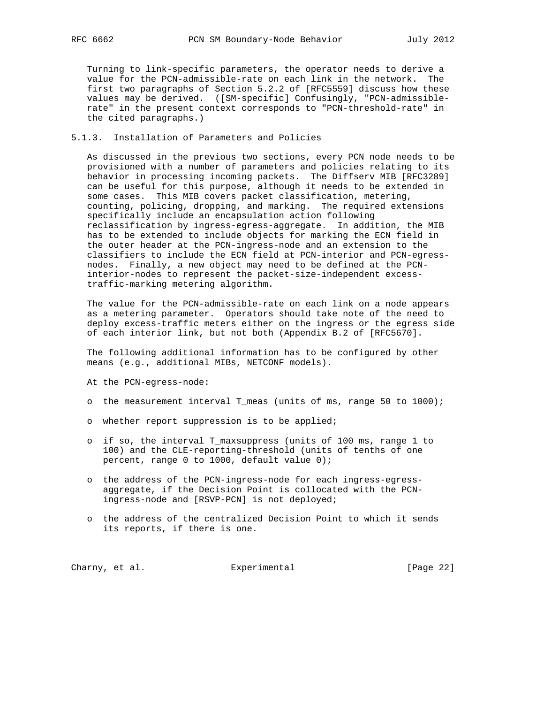Turning to link-specific parameters, the operator needs to derive a value for the PCN-admissible-rate on each link in the network. The first two paragraphs of Section 5.2.2 of [RFC5559] discuss how these values may be derived. ([SM-specific] Confusingly, "PCN-admissible rate" in the present context corresponds to "PCN-threshold-rate" in the cited paragraphs.)

# 5.1.3. Installation of Parameters and Policies

 As discussed in the previous two sections, every PCN node needs to be provisioned with a number of parameters and policies relating to its behavior in processing incoming packets. The Diffserv MIB [RFC3289] can be useful for this purpose, although it needs to be extended in some cases. This MIB covers packet classification, metering, counting, policing, dropping, and marking. The required extensions specifically include an encapsulation action following reclassification by ingress-egress-aggregate. In addition, the MIB has to be extended to include objects for marking the ECN field in the outer header at the PCN-ingress-node and an extension to the classifiers to include the ECN field at PCN-interior and PCN-egress nodes. Finally, a new object may need to be defined at the PCN interior-nodes to represent the packet-size-independent excess traffic-marking metering algorithm.

 The value for the PCN-admissible-rate on each link on a node appears as a metering parameter. Operators should take note of the need to deploy excess-traffic meters either on the ingress or the egress side of each interior link, but not both (Appendix B.2 of [RFC5670].

 The following additional information has to be configured by other means (e.g., additional MIBs, NETCONF models).

- At the PCN-egress-node:
- o the measurement interval T\_meas (units of ms, range 50 to 1000);
- o whether report suppression is to be applied;
- o if so, the interval T\_maxsuppress (units of 100 ms, range 1 to 100) and the CLE-reporting-threshold (units of tenths of one percent, range 0 to 1000, default value 0);
- o the address of the PCN-ingress-node for each ingress-egress aggregate, if the Decision Point is collocated with the PCN ingress-node and [RSVP-PCN] is not deployed;
- o the address of the centralized Decision Point to which it sends its reports, if there is one.

Charny, et al. **Experimental** Experimental [Page 22]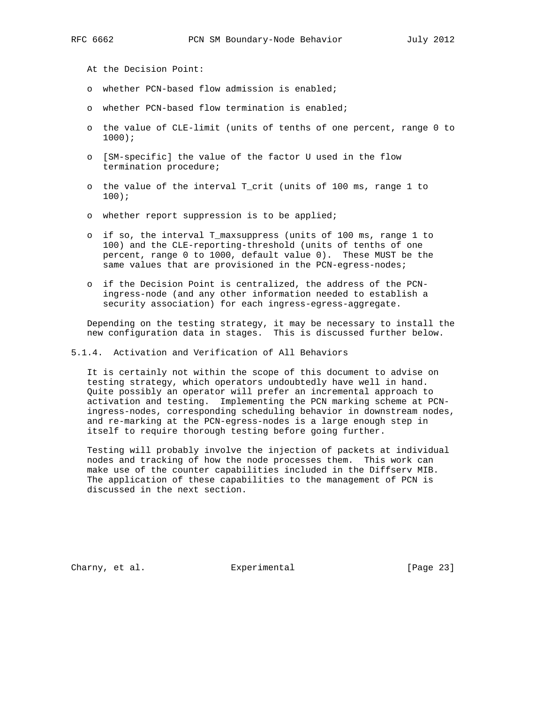At the Decision Point:

- o whether PCN-based flow admission is enabled;
- o whether PCN-based flow termination is enabled;
- o the value of CLE-limit (units of tenths of one percent, range 0 to 1000);
- o [SM-specific] the value of the factor U used in the flow termination procedure;
- o the value of the interval T\_crit (units of 100 ms, range 1 to 100);
- o whether report suppression is to be applied;
- o if so, the interval T\_maxsuppress (units of 100 ms, range 1 to 100) and the CLE-reporting-threshold (units of tenths of one percent, range 0 to 1000, default value 0). These MUST be the same values that are provisioned in the PCN-egress-nodes;
- o if the Decision Point is centralized, the address of the PCN ingress-node (and any other information needed to establish a security association) for each ingress-egress-aggregate.

 Depending on the testing strategy, it may be necessary to install the new configuration data in stages. This is discussed further below.

5.1.4. Activation and Verification of All Behaviors

 It is certainly not within the scope of this document to advise on testing strategy, which operators undoubtedly have well in hand. Quite possibly an operator will prefer an incremental approach to activation and testing. Implementing the PCN marking scheme at PCN ingress-nodes, corresponding scheduling behavior in downstream nodes, and re-marking at the PCN-egress-nodes is a large enough step in itself to require thorough testing before going further.

 Testing will probably involve the injection of packets at individual nodes and tracking of how the node processes them. This work can make use of the counter capabilities included in the Diffserv MIB. The application of these capabilities to the management of PCN is discussed in the next section.

Charny, et al. Subsection Experimental Charny, et al. (Page 23)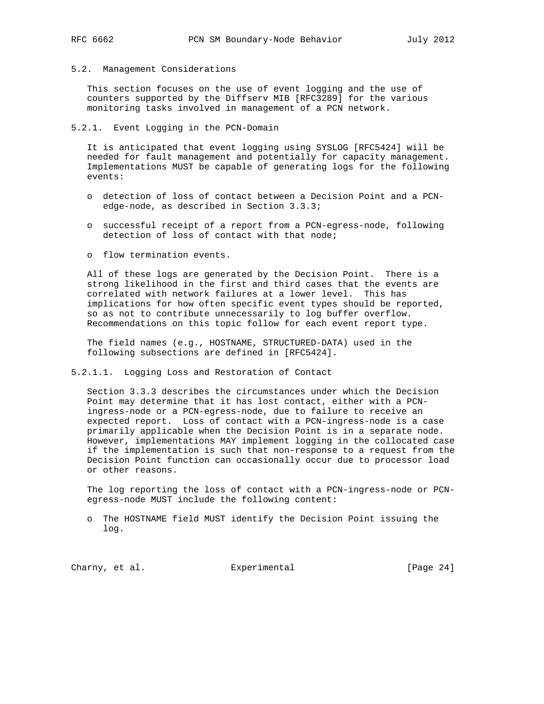## 5.2. Management Considerations

 This section focuses on the use of event logging and the use of counters supported by the Diffserv MIB [RFC3289] for the various monitoring tasks involved in management of a PCN network.

# 5.2.1. Event Logging in the PCN-Domain

 It is anticipated that event logging using SYSLOG [RFC5424] will be needed for fault management and potentially for capacity management. Implementations MUST be capable of generating logs for the following events:

- o detection of loss of contact between a Decision Point and a PCN edge-node, as described in Section 3.3.3;
- o successful receipt of a report from a PCN-egress-node, following detection of loss of contact with that node;
- o flow termination events.

 All of these logs are generated by the Decision Point. There is a strong likelihood in the first and third cases that the events are correlated with network failures at a lower level. This has implications for how often specific event types should be reported, so as not to contribute unnecessarily to log buffer overflow. Recommendations on this topic follow for each event report type.

 The field names (e.g., HOSTNAME, STRUCTURED-DATA) used in the following subsections are defined in [RFC5424].

5.2.1.1. Logging Loss and Restoration of Contact

 Section 3.3.3 describes the circumstances under which the Decision Point may determine that it has lost contact, either with a PCN ingress-node or a PCN-egress-node, due to failure to receive an expected report. Loss of contact with a PCN-ingress-node is a case primarily applicable when the Decision Point is in a separate node. However, implementations MAY implement logging in the collocated case if the implementation is such that non-response to a request from the Decision Point function can occasionally occur due to processor load or other reasons.

 The log reporting the loss of contact with a PCN-ingress-node or PCN egress-node MUST include the following content:

 o The HOSTNAME field MUST identify the Decision Point issuing the log.

Charny, et al. **Experimental** Experimental [Page 24]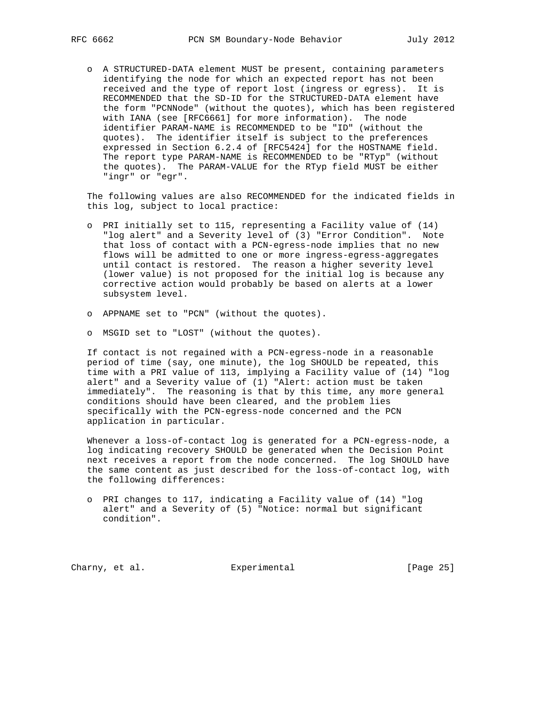o A STRUCTURED-DATA element MUST be present, containing parameters identifying the node for which an expected report has not been received and the type of report lost (ingress or egress). It is RECOMMENDED that the SD-ID for the STRUCTURED-DATA element have the form "PCNNode" (without the quotes), which has been registered with IANA (see [RFC6661] for more information). The node identifier PARAM-NAME is RECOMMENDED to be "ID" (without the quotes). The identifier itself is subject to the preferences expressed in Section 6.2.4 of [RFC5424] for the HOSTNAME field. The report type PARAM-NAME is RECOMMENDED to be "RTyp" (without the quotes). The PARAM-VALUE for the RTyp field MUST be either "ingr" or "egr".

 The following values are also RECOMMENDED for the indicated fields in this log, subject to local practice:

- o PRI initially set to 115, representing a Facility value of (14) "log alert" and a Severity level of (3) "Error Condition". Note that loss of contact with a PCN-egress-node implies that no new flows will be admitted to one or more ingress-egress-aggregates until contact is restored. The reason a higher severity level (lower value) is not proposed for the initial log is because any corrective action would probably be based on alerts at a lower subsystem level.
- o APPNAME set to "PCN" (without the quotes).
- o MSGID set to "LOST" (without the quotes).

 If contact is not regained with a PCN-egress-node in a reasonable period of time (say, one minute), the log SHOULD be repeated, this time with a PRI value of 113, implying a Facility value of (14) "log alert" and a Severity value of (1) "Alert: action must be taken immediately". The reasoning is that by this time, any more general conditions should have been cleared, and the problem lies specifically with the PCN-egress-node concerned and the PCN application in particular.

 Whenever a loss-of-contact log is generated for a PCN-egress-node, a log indicating recovery SHOULD be generated when the Decision Point next receives a report from the node concerned. The log SHOULD have the same content as just described for the loss-of-contact log, with the following differences:

 o PRI changes to 117, indicating a Facility value of (14) "log alert" and a Severity of (5) "Notice: normal but significant condition".

Charny, et al. Experimental [Page 25]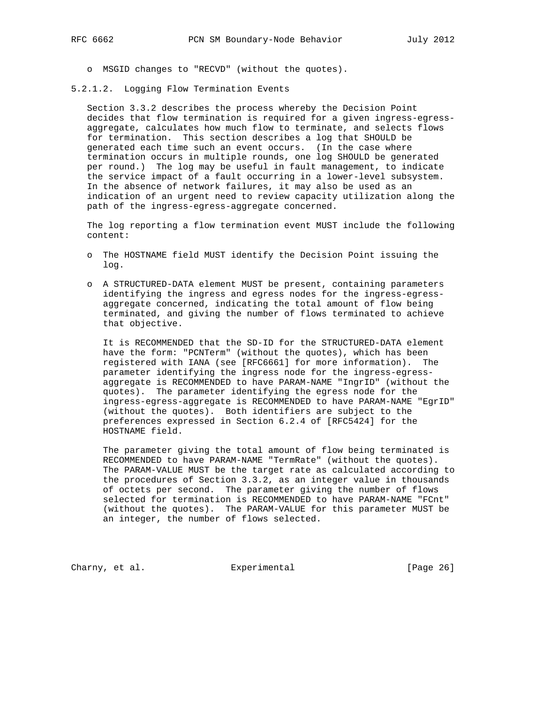o MSGID changes to "RECVD" (without the quotes).

5.2.1.2. Logging Flow Termination Events

 Section 3.3.2 describes the process whereby the Decision Point decides that flow termination is required for a given ingress-egress aggregate, calculates how much flow to terminate, and selects flows for termination. This section describes a log that SHOULD be generated each time such an event occurs. (In the case where termination occurs in multiple rounds, one log SHOULD be generated per round.) The log may be useful in fault management, to indicate the service impact of a fault occurring in a lower-level subsystem. In the absence of network failures, it may also be used as an indication of an urgent need to review capacity utilization along the path of the ingress-egress-aggregate concerned.

 The log reporting a flow termination event MUST include the following content:

- o The HOSTNAME field MUST identify the Decision Point issuing the log.
- o A STRUCTURED-DATA element MUST be present, containing parameters identifying the ingress and egress nodes for the ingress-egress aggregate concerned, indicating the total amount of flow being terminated, and giving the number of flows terminated to achieve that objective.

 It is RECOMMENDED that the SD-ID for the STRUCTURED-DATA element have the form: "PCNTerm" (without the quotes), which has been registered with IANA (see [RFC6661] for more information). The parameter identifying the ingress node for the ingress-egress aggregate is RECOMMENDED to have PARAM-NAME "IngrID" (without the quotes). The parameter identifying the egress node for the ingress-egress-aggregate is RECOMMENDED to have PARAM-NAME "EgrID" (without the quotes). Both identifiers are subject to the preferences expressed in Section 6.2.4 of [RFC5424] for the HOSTNAME field.

 The parameter giving the total amount of flow being terminated is RECOMMENDED to have PARAM-NAME "TermRate" (without the quotes). The PARAM-VALUE MUST be the target rate as calculated according to the procedures of Section 3.3.2, as an integer value in thousands of octets per second. The parameter giving the number of flows selected for termination is RECOMMENDED to have PARAM-NAME "FCnt" (without the quotes). The PARAM-VALUE for this parameter MUST be an integer, the number of flows selected.

Charny, et al. Subsection Experimental Charny, et al. [Page 26]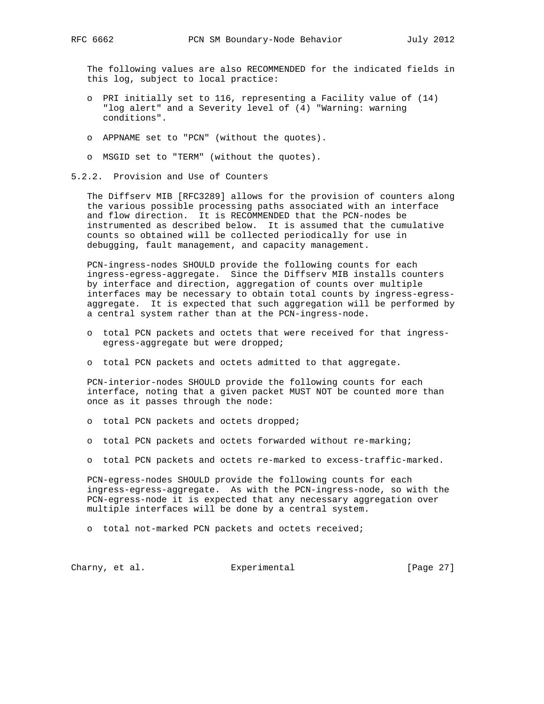The following values are also RECOMMENDED for the indicated fields in this log, subject to local practice:

- o PRI initially set to 116, representing a Facility value of (14) "log alert" and a Severity level of (4) "Warning: warning conditions".
- o APPNAME set to "PCN" (without the quotes).
- o MSGID set to "TERM" (without the quotes).
- 5.2.2. Provision and Use of Counters

 The Diffserv MIB [RFC3289] allows for the provision of counters along the various possible processing paths associated with an interface and flow direction. It is RECOMMENDED that the PCN-nodes be instrumented as described below. It is assumed that the cumulative counts so obtained will be collected periodically for use in debugging, fault management, and capacity management.

 PCN-ingress-nodes SHOULD provide the following counts for each ingress-egress-aggregate. Since the Diffserv MIB installs counters by interface and direction, aggregation of counts over multiple interfaces may be necessary to obtain total counts by ingress-egress aggregate. It is expected that such aggregation will be performed by a central system rather than at the PCN-ingress-node.

- o total PCN packets and octets that were received for that ingress egress-aggregate but were dropped;
- o total PCN packets and octets admitted to that aggregate.

 PCN-interior-nodes SHOULD provide the following counts for each interface, noting that a given packet MUST NOT be counted more than once as it passes through the node:

- o total PCN packets and octets dropped;
- o total PCN packets and octets forwarded without re-marking;
- o total PCN packets and octets re-marked to excess-traffic-marked.

 PCN-egress-nodes SHOULD provide the following counts for each ingress-egress-aggregate. As with the PCN-ingress-node, so with the PCN-egress-node it is expected that any necessary aggregation over multiple interfaces will be done by a central system.

o total not-marked PCN packets and octets received;

Charny, et al. Experimental [Page 27]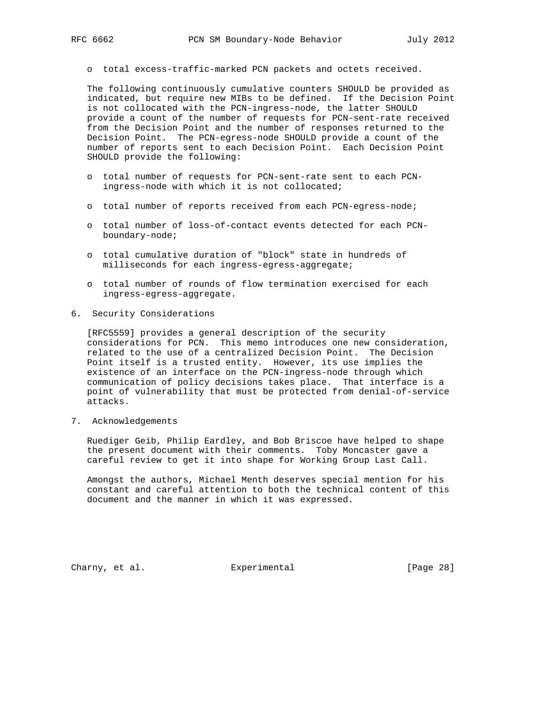o total excess-traffic-marked PCN packets and octets received.

 The following continuously cumulative counters SHOULD be provided as indicated, but require new MIBs to be defined. If the Decision Point is not collocated with the PCN-ingress-node, the latter SHOULD provide a count of the number of requests for PCN-sent-rate received from the Decision Point and the number of responses returned to the Decision Point. The PCN-egress-node SHOULD provide a count of the number of reports sent to each Decision Point. Each Decision Point SHOULD provide the following:

- o total number of requests for PCN-sent-rate sent to each PCN ingress-node with which it is not collocated;
- o total number of reports received from each PCN-egress-node;
- o total number of loss-of-contact events detected for each PCN boundary-node;
- o total cumulative duration of "block" state in hundreds of milliseconds for each ingress-egress-aggregate;
- o total number of rounds of flow termination exercised for each ingress-egress-aggregate.
- 6. Security Considerations

 [RFC5559] provides a general description of the security considerations for PCN. This memo introduces one new consideration, related to the use of a centralized Decision Point. The Decision Point itself is a trusted entity. However, its use implies the existence of an interface on the PCN-ingress-node through which communication of policy decisions takes place. That interface is a point of vulnerability that must be protected from denial-of-service attacks.

7. Acknowledgements

 Ruediger Geib, Philip Eardley, and Bob Briscoe have helped to shape the present document with their comments. Toby Moncaster gave a careful review to get it into shape for Working Group Last Call.

 Amongst the authors, Michael Menth deserves special mention for his constant and careful attention to both the technical content of this document and the manner in which it was expressed.

Charny, et al. Subsection Experimental Charny, et al. [Page 28]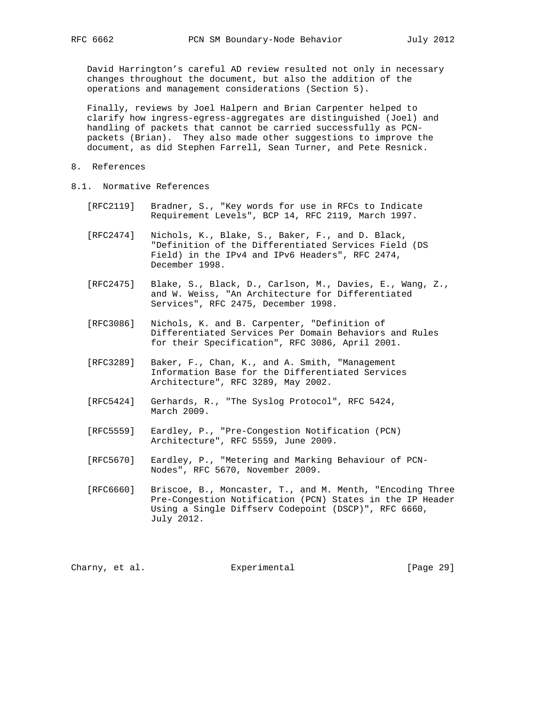David Harrington's careful AD review resulted not only in necessary changes throughout the document, but also the addition of the operations and management considerations (Section 5).

 Finally, reviews by Joel Halpern and Brian Carpenter helped to clarify how ingress-egress-aggregates are distinguished (Joel) and handling of packets that cannot be carried successfully as PCN packets (Brian). They also made other suggestions to improve the document, as did Stephen Farrell, Sean Turner, and Pete Resnick.

- 8. References
- 8.1. Normative References
	- [RFC2119] Bradner, S., "Key words for use in RFCs to Indicate Requirement Levels", BCP 14, RFC 2119, March 1997.
	- [RFC2474] Nichols, K., Blake, S., Baker, F., and D. Black, "Definition of the Differentiated Services Field (DS Field) in the IPv4 and IPv6 Headers", RFC 2474, December 1998.
	- [RFC2475] Blake, S., Black, D., Carlson, M., Davies, E., Wang, Z., and W. Weiss, "An Architecture for Differentiated Services", RFC 2475, December 1998.
	- [RFC3086] Nichols, K. and B. Carpenter, "Definition of Differentiated Services Per Domain Behaviors and Rules for their Specification", RFC 3086, April 2001.
	- [RFC3289] Baker, F., Chan, K., and A. Smith, "Management Information Base for the Differentiated Services Architecture", RFC 3289, May 2002.
	- [RFC5424] Gerhards, R., "The Syslog Protocol", RFC 5424, March 2009.
- [RFC5559] Eardley, P., "Pre-Congestion Notification (PCN) Architecture", RFC 5559, June 2009.
	- [RFC5670] Eardley, P., "Metering and Marking Behaviour of PCN- Nodes", RFC 5670, November 2009.
	- [RFC6660] Briscoe, B., Moncaster, T., and M. Menth, "Encoding Three Pre-Congestion Notification (PCN) States in the IP Header Using a Single Diffserv Codepoint (DSCP)", RFC 6660, July 2012.

Charny, et al. Subsection Experimental Charny, et al. (Page 29)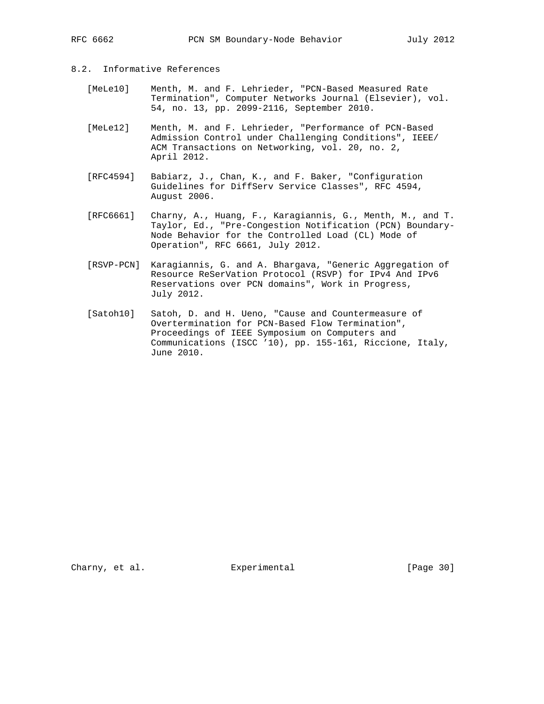# 8.2. Informative References

- [MeLe10] Menth, M. and F. Lehrieder, "PCN-Based Measured Rate Termination", Computer Networks Journal (Elsevier), vol. 54, no. 13, pp. 2099-2116, September 2010.
- [MeLe12] Menth, M. and F. Lehrieder, "Performance of PCN-Based Admission Control under Challenging Conditions", IEEE/ ACM Transactions on Networking, vol. 20, no. 2, April 2012.
- [RFC4594] Babiarz, J., Chan, K., and F. Baker, "Configuration Guidelines for DiffServ Service Classes", RFC 4594, August 2006.
- [RFC6661] Charny, A., Huang, F., Karagiannis, G., Menth, M., and T. Taylor, Ed., "Pre-Congestion Notification (PCN) Boundary- Node Behavior for the Controlled Load (CL) Mode of Operation", RFC 6661, July 2012.
- [RSVP-PCN] Karagiannis, G. and A. Bhargava, "Generic Aggregation of Resource ReSerVation Protocol (RSVP) for IPv4 And IPv6 Reservations over PCN domains", Work in Progress, July 2012.
- [Satoh10] Satoh, D. and H. Ueno, "Cause and Countermeasure of Overtermination for PCN-Based Flow Termination", Proceedings of IEEE Symposium on Computers and Communications (ISCC '10), pp. 155-161, Riccione, Italy, June 2010.